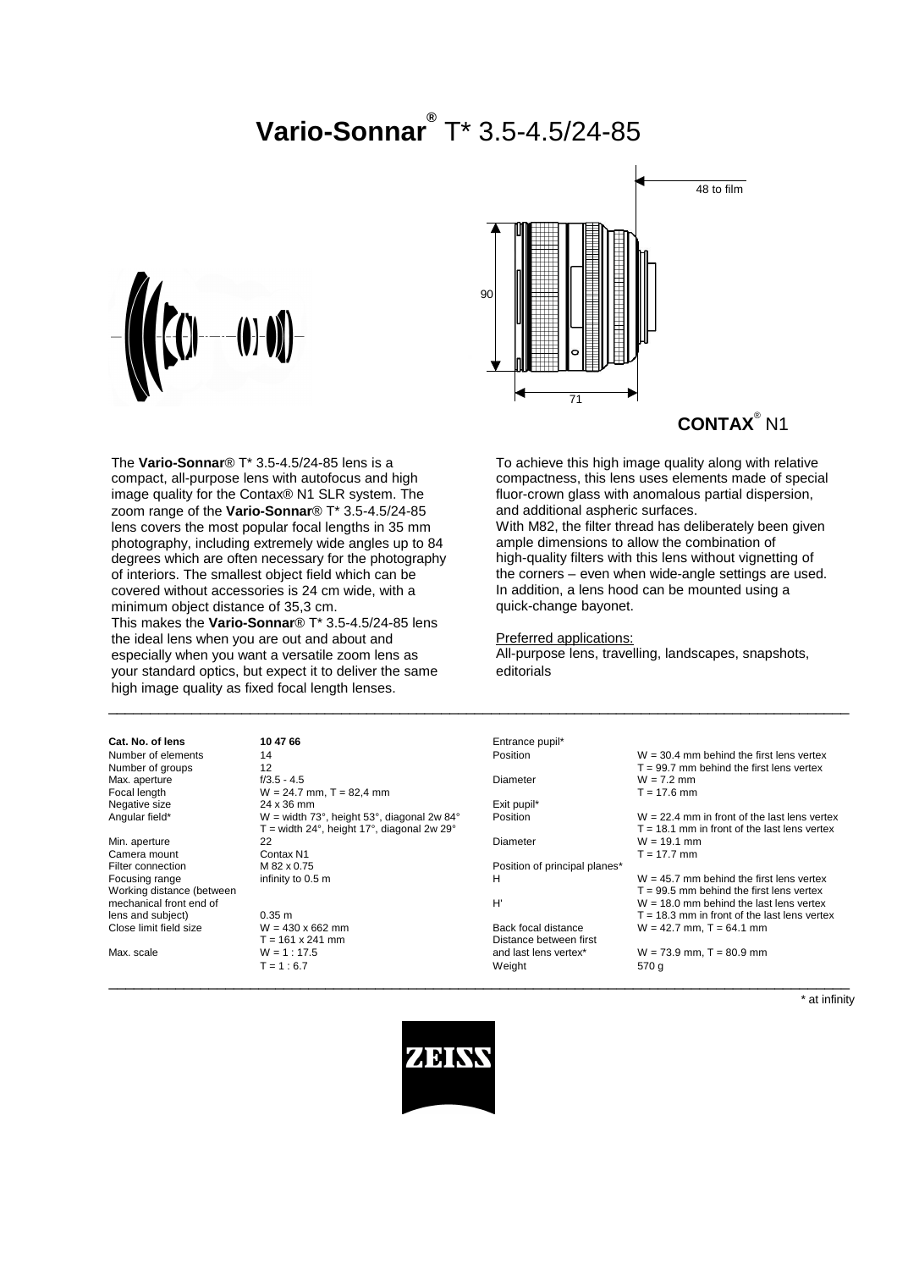# **Vario-Sonnar®** T\* 3.5-4.5/24-85



The **Vario-Sonnar**® T\* 3.5-4.5/24-85 lens is a compact, all-purpose lens with autofocus and high image quality for the Contax® N1 SLR system. The zoom range of the **Vario-Sonnar**® T\* 3.5-4.5/24-85 lens covers the most popular focal lengths in 35 mm photography, including extremely wide angles up to 84 degrees which are often necessary for the photography of interiors. The smallest object field which can be covered without accessories is 24 cm wide, with a minimum object distance of 35,3 cm. This makes the **Vario-Sonnar**® T\* 3.5-4.5/24-85 lens the ideal lens when you are out and about and

especially when you want a versatile zoom lens as your standard optics, but expect it to deliver the same high image quality as fixed focal length lenses.



**CONTAX**® N1

To achieve this high image quality along with relative compactness, this lens uses elements made of special fluor-crown glass with anomalous partial dispersion, and additional aspheric surfaces.

With M82, the filter thread has deliberately been given ample dimensions to allow the combination of high-quality filters with this lens without vignetting of the corners – even when wide-angle settings are used. In addition, a lens hood can be mounted using a quick-change bayonet.

Preferred applications:

All-purpose lens, travelling, landscapes, snapshots, editorials

| Cat. No. of lens          | 10 47 66                                                          | Entrance pupil*               |                                                |
|---------------------------|-------------------------------------------------------------------|-------------------------------|------------------------------------------------|
| Number of elements        | 14                                                                | Position                      | $W = 30.4$ mm behind the first lens vertex     |
| Number of groups          | 12                                                                |                               | $T = 99.7$ mm behind the first lens vertex     |
| Max. aperture             | $f/3.5 - 4.5$                                                     | Diameter                      | $W = 7.2$ mm                                   |
| Focal length              | $W = 24.7$ mm, T = 82,4 mm                                        |                               | $T = 17.6$ mm                                  |
| Negative size             | 24 x 36 mm                                                        | Exit pupil*                   |                                                |
| Angular field*            | W = width $73^\circ$ , height $53^\circ$ , diagonal 2w $84^\circ$ | Position                      | $W = 22.4$ mm in front of the last lens vertex |
|                           | $T =$ width 24°, height 17°, diagonal 2w 29°                      |                               | $T = 18.1$ mm in front of the last lens vertex |
| Min. aperture             | 22                                                                | Diameter                      | $W = 19.1$ mm                                  |
| Camera mount              | Contax N1                                                         |                               | $T = 17.7$ mm                                  |
| Filter connection         | M 82 x 0.75                                                       | Position of principal planes* |                                                |
| Focusing range            | infinity to 0.5 m                                                 | н                             | $W = 45.7$ mm behind the first lens vertex     |
| Working distance (between |                                                                   |                               | $T = 99.5$ mm behind the first lens vertex     |
| mechanical front end of   |                                                                   | H'                            | $W = 18.0$ mm behind the last lens vertex      |
| lens and subject)         | 0.35 <sub>m</sub>                                                 |                               | $T = 18.3$ mm in front of the last lens vertex |
| Close limit field size    | $W = 430 \times 662$ mm                                           | Back focal distance           | $W = 42.7$ mm, $T = 64.1$ mm                   |
|                           | $T = 161 \times 241$ mm                                           | Distance between first        |                                                |
| Max. scale                | $W = 1 : 17.5$                                                    | and last lens vertex*         | $W = 73.9$ mm, $T = 80.9$ mm                   |
|                           | $T = 1:6.7$                                                       | Weight                        | 570 g                                          |
|                           |                                                                   |                               |                                                |

 $\_$  ,  $\_$  ,  $\_$  ,  $\_$  ,  $\_$  ,  $\_$  ,  $\_$  ,  $\_$  ,  $\_$  ,  $\_$  ,  $\_$  ,  $\_$  ,  $\_$  ,  $\_$  ,  $\_$  ,  $\_$  ,  $\_$  ,  $\_$  ,  $\_$  ,  $\_$  ,  $\_$  ,  $\_$  ,  $\_$  ,  $\_$  ,  $\_$  ,  $\_$  ,  $\_$  ,  $\_$  ,  $\_$  ,  $\_$  ,  $\_$  ,  $\_$  ,  $\_$  ,  $\_$  ,  $\_$  ,  $\_$  ,  $\_$  ,

\* at infinity

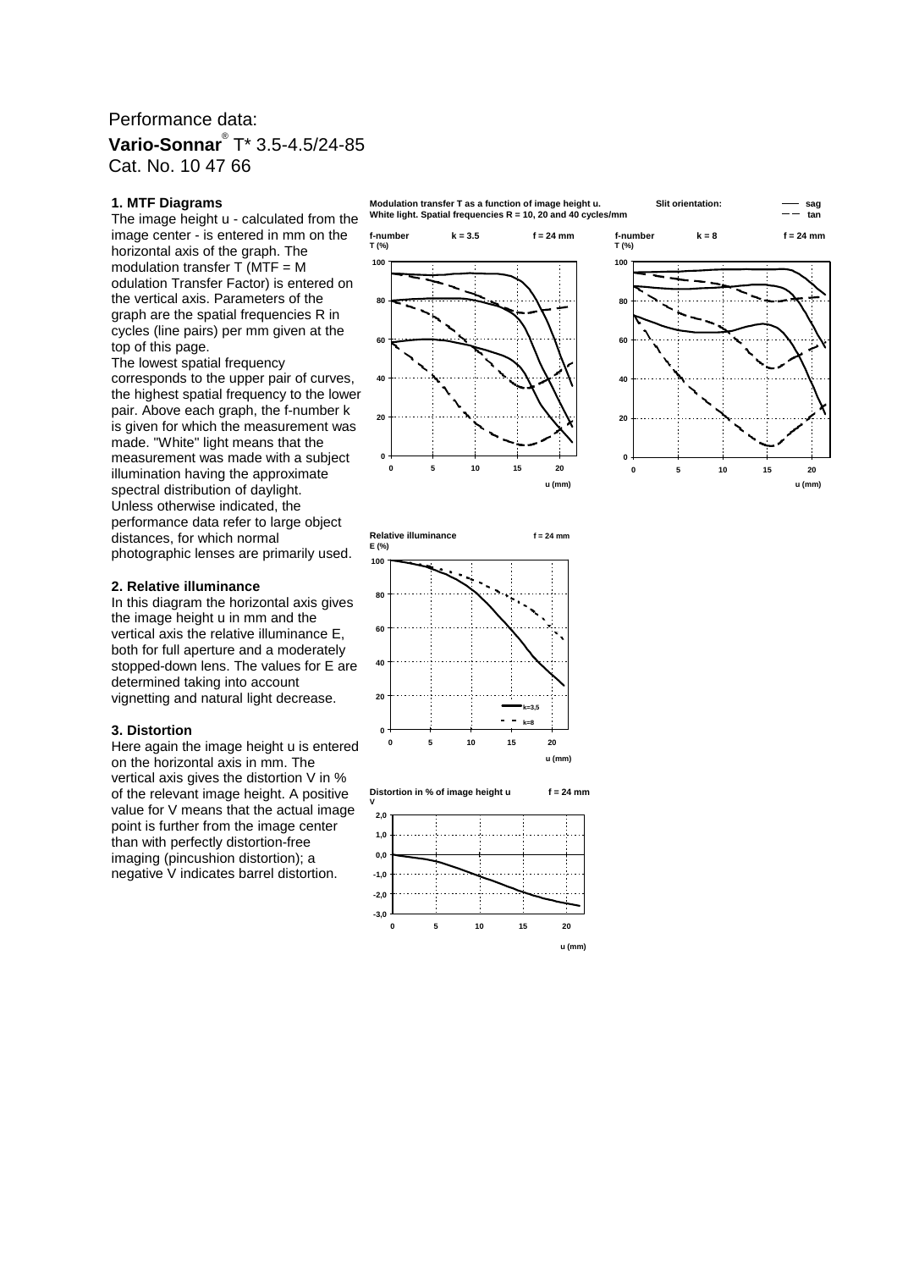## Performance data: **Vario-Sonnar**® T\* 3.5-4.5/24-85 Cat. No. 10 47 66

#### **1. MTF Diagrams**

The image height u - calculated from the image center - is entered in mm on the horizontal axis of the graph. The modulation transfer  $\overline{T}$  (MTF = M odulation Transfer Factor) is entered on the vertical axis. Parameters of the graph are the spatial frequencies R in cycles (line pairs) per mm given at the top of this page.

The lowest spatial frequency corresponds to the upper pair of curves, the highest spatial frequency to the lower pair. Above each graph, the f-number k is given for which the measurement was made. "White" light means that the measurement was made with a subject illumination having the approximate spectral distribution of daylight. Unless otherwise indicated, the performance data refer to large object distances, for which normal photographic lenses are primarily used.

#### **2. Relative illuminance**

In this diagram the horizontal axis gives the image height u in mm and the vertical axis the relative illuminance E, both for full aperture and a moderately stopped-down lens. The values for E are determined taking into account vignetting and natural light decrease.

#### **3. Distortion**

Here again the image height u is entered on the horizontal axis in mm. The vertical axis gives the distortion V in % of the relevant image height. A positive value for V means that the actual image point is further from the image center than with perfectly distortion-free imaging (pincushion distortion); a negative V indicates barrel distortion.





**Relative illuminance f = 24 mm E (%) 0 20 40 60 80 100 0 5 10 15 20 k=3,5 k=8**

**u (mm)**

**Distortion in % of image height u f = 24 mm**

**V** 



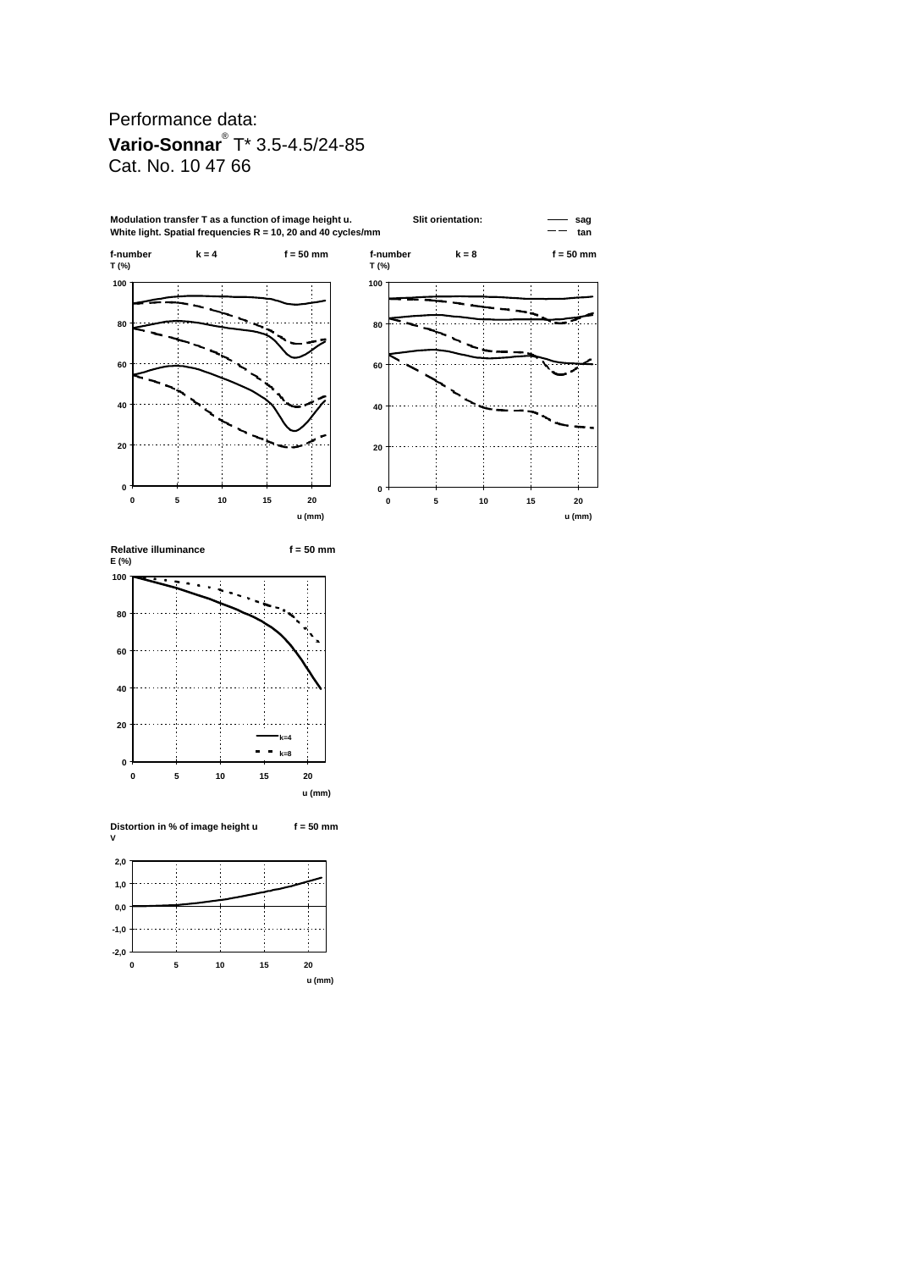## Performance data: **Vario-Sonnar**® T\* 3.5-4.5/24-85 Cat. No. 10 47 66